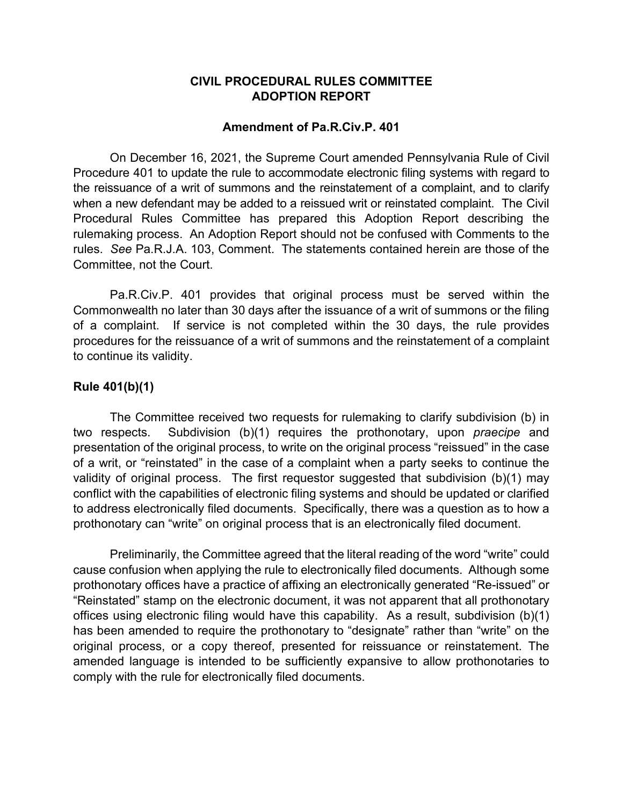## **CIVIL PROCEDURAL RULES COMMITTEE ADOPTION REPORT**

## **Amendment of Pa.R.Civ.P. 401**

On December 16, 2021, the Supreme Court amended Pennsylvania Rule of Civil Procedure 401 to update the rule to accommodate electronic filing systems with regard to the reissuance of a writ of summons and the reinstatement of a complaint, and to clarify when a new defendant may be added to a reissued writ or reinstated complaint. The Civil Procedural Rules Committee has prepared this Adoption Report describing the rulemaking process. An Adoption Report should not be confused with Comments to the rules. *See* Pa.R.J.A. 103, Comment. The statements contained herein are those of the Committee, not the Court.

Pa.R.Civ.P. 401 provides that original process must be served within the Commonwealth no later than 30 days after the issuance of a writ of summons or the filing of a complaint. If service is not completed within the 30 days, the rule provides procedures for the reissuance of a writ of summons and the reinstatement of a complaint to continue its validity.

## **Rule 401(b)(1)**

The Committee received two requests for rulemaking to clarify subdivision (b) in two respects. Subdivision (b)(1) requires the prothonotary, upon *praecipe* and presentation of the original process, to write on the original process "reissued" in the case of a writ, or "reinstated" in the case of a complaint when a party seeks to continue the validity of original process. The first requestor suggested that subdivision (b)(1) may conflict with the capabilities of electronic filing systems and should be updated or clarified to address electronically filed documents. Specifically, there was a question as to how a prothonotary can "write" on original process that is an electronically filed document.

Preliminarily, the Committee agreed that the literal reading of the word "write" could cause confusion when applying the rule to electronically filed documents. Although some prothonotary offices have a practice of affixing an electronically generated "Re-issued" or "Reinstated" stamp on the electronic document, it was not apparent that all prothonotary offices using electronic filing would have this capability. As a result, subdivision (b)(1) has been amended to require the prothonotary to "designate" rather than "write" on the original process, or a copy thereof, presented for reissuance or reinstatement. The amended language is intended to be sufficiently expansive to allow prothonotaries to comply with the rule for electronically filed documents.